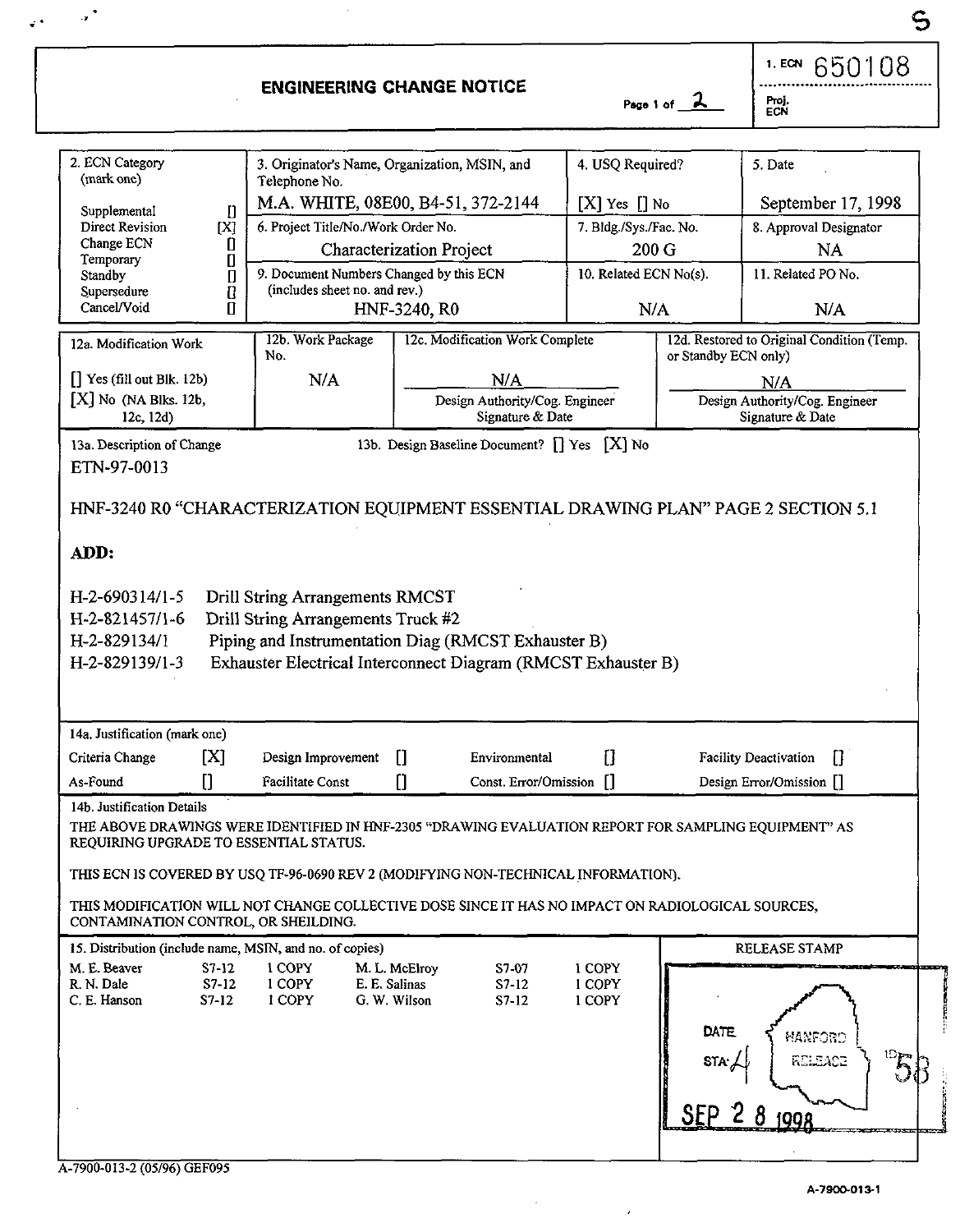**I**  650'1 08 . . . . . . .. ..... ... . . .... ................ **ENGINEERING CHANGE NOTICE**  2. ECN Category 3. Originator's Name, Organization, MSIN, and (mark one) 1. Telephone No. 4. USQ Required? *5.* Date Telephone No. M.A. WHITE, 08E00, B4-51, 372-2144  $\parallel$  [X] Yes  $\parallel$  No  $\parallel$  September 17, 1998 Supplemental  $\mathbf{I}$ Direct Revision **[X]** 6. Project TitleiNo.lWork Order No. 7. Bldg./Sys./Fac. No. 8. Approval Designator Change ECN [I Characterization Project 200 G NA<br>
Temporary [I] Characterization Project 200 G NA<br>
Standby<br>
Supersedure [I] 9. Document Numbers Changed by this ECN 10. Related ECN No(s). 11. Related PO No.<br>
Supersedure [I] (includes shee Characterization Project 200 G NA Temporary 9. Document Numbers Changed by this ECN 10. Related ECN No(s). [11. Related PO No. [11. Related PO No. Standby<br>Supersedure Standby **ii** I 9. Document Numbers Changed by this ECN **10. Related ECN No(s).** 11. Related PO N<br>
Supersedure **ii** (includes sheet no. and rev.)<br>
Cancel/Void **II** HNF-3240, RO N/A N/A N/A 12a. Modification Work 12b. Work Package 12c. Modification Work Complete 12d. Restored to Original Condition (Temp. or Standby ECN only) No. [] Yes (fill out Blk. 12b) NIA  $N/A$   $N/A$ [X] No (NA Blks. 12b, Design Authority/Cog. Engineer Design Authority/Cog. Engineer Signature & Date Signature & Date 12c, 12d) 13a. Description of Change 13b. Design Baseline Document? [] Yes [X] No ETN-97-0013 HNF-3240 R0 "CHARACTERIZATION EOUIPMENT ESSENTIAL DRAWING PLAN" PAGE 2 SECTION 5.1 **ADD:**  H-2-6903 14/1-5 Drill String Arrangements RMCST H-2-821457/1-6 Drill String Arrangements Truck #2 H-2-82913411 Piping and Instrumentation Diag (RMCST Exhauster B) H-2-829139/1-3 Exhauster Electrical Interconnect Diagram (RMCST Exhauster B) 14a. Justification (mark one) Criteria Change  $[X]$  Design Improvement [] Environmental [] Facility Deactivation [] As-Found  $\begin{bmatrix} \end{bmatrix}$  Facilitate Const  $\begin{bmatrix} \end{bmatrix}$  Const. Error/Omission  $\begin{bmatrix} \end{bmatrix}$  Design Error/Omission  $\begin{bmatrix} \end{bmatrix}$ 14b. Justification Details THE ABOVE DRAWINGS WERE IDENTIFIED IN HNF-2305 "DRAWING EVALUATION REPORT FOR SAMPLING EQUIPMENT" AS REQUIRING UPGRADE TO ESSENTIAL STATUS. **THIS** ECN IS COVERED BY USQ **TF-96-0690** REV 2 (MODIFYING NON-TECHNICAL INFORMATION). THIS MODIFICATION WILL NOT CHANGE COLLECTIVE DOSE SINCE IT HAS NO IMPACT ON RADIOLOGICAL SOURCES, CONTAMINATION CONTROL, OR SIIEILDING. RELEASE STAMP **IS.** Distribution (include name, MSIN, and no. of copies) M. E. Beaver S7-12 **1** COPY M. L. McElmy **S7-07 1** COPY R. N. Dale S7-12 **1** COPY E. E. Salinas S7-12 **1** COPY C. E. **Hanson** S7-12 I COPY *G.* W. Wilson S7-12 **1** COPY DATE MANFORD  $\mathbb{D}_{\overline{\mathbb{R}}}$ RELEACE  $8$  1008

*s* ..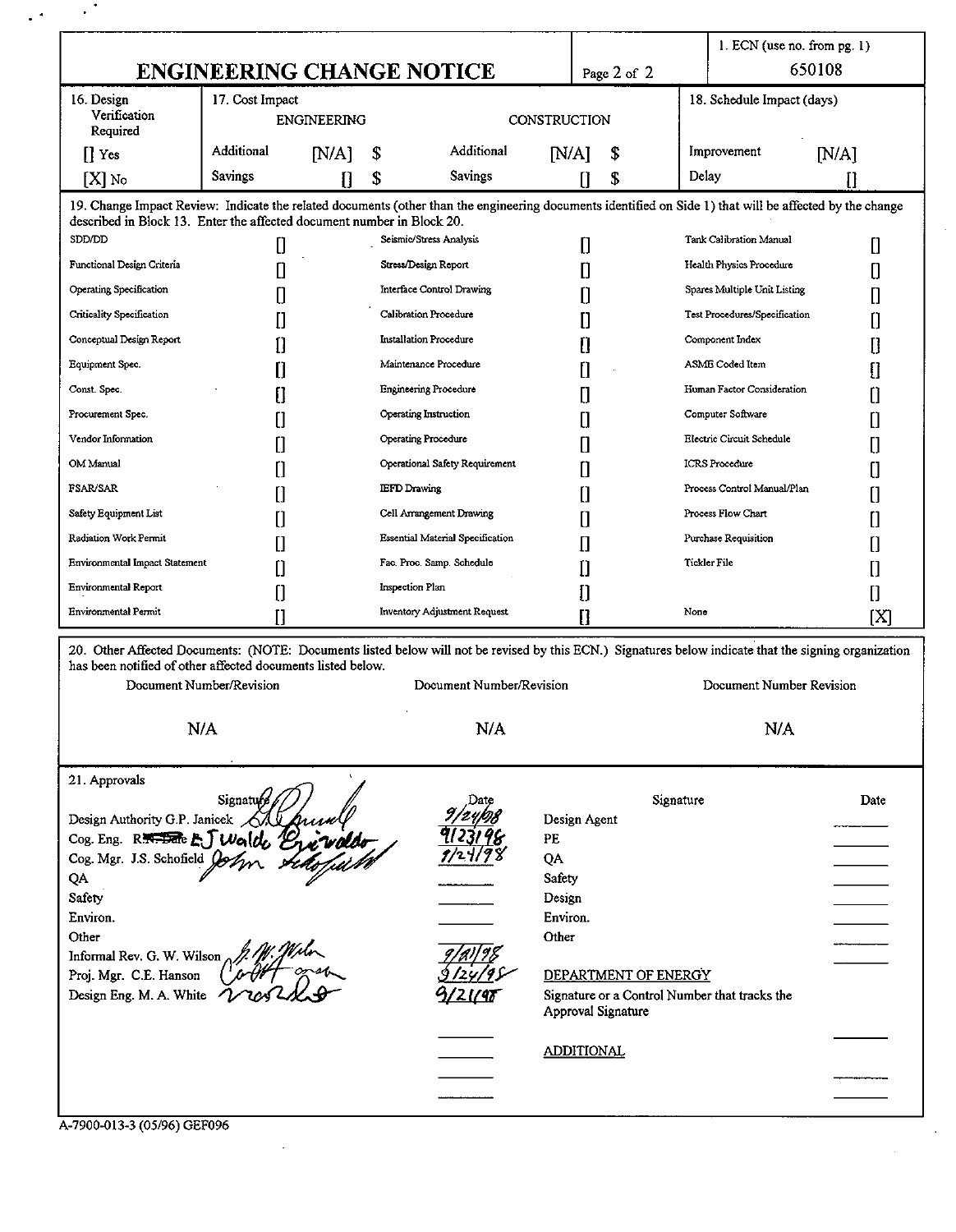|                                                                                                                                                          | <b>ENGINEERING CHANGE NOTICE</b> |                           |                     |                                         |                  | Page 2 of 2                  |                                                                       | $1.$ ECN (use no. from pg. 1) | 650108 |  |
|----------------------------------------------------------------------------------------------------------------------------------------------------------|----------------------------------|---------------------------|---------------------|-----------------------------------------|------------------|------------------------------|-----------------------------------------------------------------------|-------------------------------|--------|--|
| 16. Design<br>Verification<br>Required                                                                                                                   | 17. Cost Impact<br>ENGINEERING   |                           |                     | CONSTRUCTION                            |                  |                              |                                                                       | 18. Schedule Impact (days)    |        |  |
| $\prod$ Yes                                                                                                                                              | Additional                       | [N/A]                     | Additional<br>\$    |                                         | $N/A$ ]<br>\$    |                              |                                                                       | Improvement<br>[N/A]          |        |  |
| $[X]$ No                                                                                                                                                 | <b>Savings</b>                   | П                         | \$                  | <b>Savings</b>                          |                  | \$<br>П                      | Delay                                                                 |                               | П      |  |
| 19. Change Impact Review: Indicate the related documents (other than the engineering documents identified on Side 1) that will be affected by the change |                                  |                           |                     |                                         |                  |                              |                                                                       |                               |        |  |
| described in Block 13. Enter the affected document number in Block 20.<br>SDD/DD                                                                         | O                                |                           |                     | Seismic/Stress Analysis                 |                  | n                            |                                                                       | Tank Calibration Manual       | Π      |  |
| Functional Design Criteria                                                                                                                               | Π                                | Stress/Design Report      |                     |                                         | П                | Health Physics Procedure     |                                                                       |                               |        |  |
| Operating Specification                                                                                                                                  | П                                | Interface Control Drawing |                     |                                         | Π                | Spares Multiple Unit Listing |                                                                       | 0<br>П                        |        |  |
| Criticality Specification                                                                                                                                |                                  | Calibration Procedure     |                     |                                         |                  | П                            | Test Procedures/Specification                                         | n                             |        |  |
| Conceptual Design Report                                                                                                                                 |                                  | Installation Procedure    |                     |                                         |                  |                              |                                                                       | Component Index               |        |  |
| Equipment Spec.                                                                                                                                          |                                  |                           |                     | Maintenance Procedure                   |                  | Ū<br>n                       |                                                                       | ASME Coded Item               | П      |  |
| Const. Spec.                                                                                                                                             |                                  |                           |                     | <b>Engineering Procedure</b>            |                  |                              |                                                                       | Human Factor Consideration    | П      |  |
| Procurement Spec.                                                                                                                                        |                                  |                           |                     | Operating Instruction                   |                  | П                            | Computer Software                                                     | П                             |        |  |
| Vendor Information                                                                                                                                       |                                  |                           |                     | Operating Procedure                     |                  | П                            |                                                                       | Electric Circuit Schedule     | Н      |  |
| OM Manual                                                                                                                                                |                                  |                           |                     | Operational Safety Requirement          |                  | Π                            |                                                                       | <b>ICRS</b> Procedure         | П      |  |
|                                                                                                                                                          |                                  |                           |                     |                                         |                  | П                            |                                                                       | Process Control Manual/Plan   | H      |  |
| <b>FSAR/SAR</b>                                                                                                                                          |                                  |                           | <b>IEFD</b> Drawing |                                         |                  | n                            |                                                                       | П                             |        |  |
| Safety Equipment List                                                                                                                                    |                                  |                           |                     | Cell Arrangement Drawing                |                  | П                            | Process Flow Chart                                                    |                               | 0      |  |
| Radiation Work Permit                                                                                                                                    |                                  |                           |                     | <b>Essential Material Specification</b> |                  | Π                            | Purchase Requisition                                                  |                               | П      |  |
| <b>Environmental Impact Statement</b>                                                                                                                    | П                                |                           |                     | Fac. Proc. Samp. Schedule               |                  | n                            |                                                                       | Tickler File                  | 0      |  |
| <b>Environmental Report</b>                                                                                                                              | Π                                |                           | Inspection Plan     |                                         |                  | П                            |                                                                       |                               | O      |  |
| Environmental Permit                                                                                                                                     | П                                |                           |                     | <b>Inventory Adjustment Request</b>     |                  | п                            | None                                                                  |                               | ſХl    |  |
| 20. Other Affected Documents: (NOTE: Documents listed below will not be revised by this ECN.) Signatures below indicate that the signing organization    |                                  |                           |                     |                                         |                  |                              |                                                                       |                               |        |  |
| has been notified of other affected documents listed below.<br>Document Number/Revision                                                                  |                                  |                           |                     | Document Number/Revision                |                  |                              |                                                                       | Document Number Revision      |        |  |
| N/A                                                                                                                                                      |                                  |                           | N/A                 |                                         |                  | N/A                          |                                                                       |                               |        |  |
| 21. Approvals                                                                                                                                            | Signature                        |                           |                     |                                         |                  |                              | Signature                                                             |                               | Date   |  |
|                                                                                                                                                          |                                  |                           |                     |                                         | Design Agent     |                              |                                                                       |                               |        |  |
| Design Authority G.P. Jancer Any grown<br>Cog. Eng. R. <del>R. Bac</del> E.J Walde Britandor<br>Cog Mer. J.S. Schofield John stateful to                 |                                  |                           |                     |                                         | PE               |                              |                                                                       |                               |        |  |
|                                                                                                                                                          |                                  |                           |                     |                                         | QA.              |                              |                                                                       |                               |        |  |
| QA<br>Safety                                                                                                                                             |                                  |                           |                     |                                         | Safety<br>Design |                              |                                                                       |                               |        |  |
| Environ.                                                                                                                                                 |                                  |                           |                     |                                         | Environ.         |                              |                                                                       |                               |        |  |
| Other                                                                                                                                                    |                                  |                           |                     |                                         | Other            |                              |                                                                       |                               |        |  |
| Informal Rev. G. W. Wilson $\sim$                                                                                                                        |                                  |                           |                     |                                         |                  |                              |                                                                       |                               |        |  |
| Proj. Mgr. C.E. Hanson                                                                                                                                   |                                  |                           |                     |                                         |                  |                              | DEPARTMENT OF ENERGY<br>Signature or a Control Number that tracks the |                               |        |  |
| Design Eng. M. A. White $\gamma$                                                                                                                         |                                  |                           |                     |                                         |                  | Approval Signature           |                                                                       |                               |        |  |
|                                                                                                                                                          |                                  |                           |                     |                                         |                  |                              |                                                                       |                               |        |  |
|                                                                                                                                                          |                                  |                           |                     |                                         |                  | <b>ADDITIONAL</b>            |                                                                       |                               |        |  |
|                                                                                                                                                          |                                  |                           |                     |                                         |                  |                              |                                                                       |                               |        |  |
|                                                                                                                                                          |                                  |                           |                     |                                         |                  |                              |                                                                       |                               |        |  |

 $\sim$   $\sim$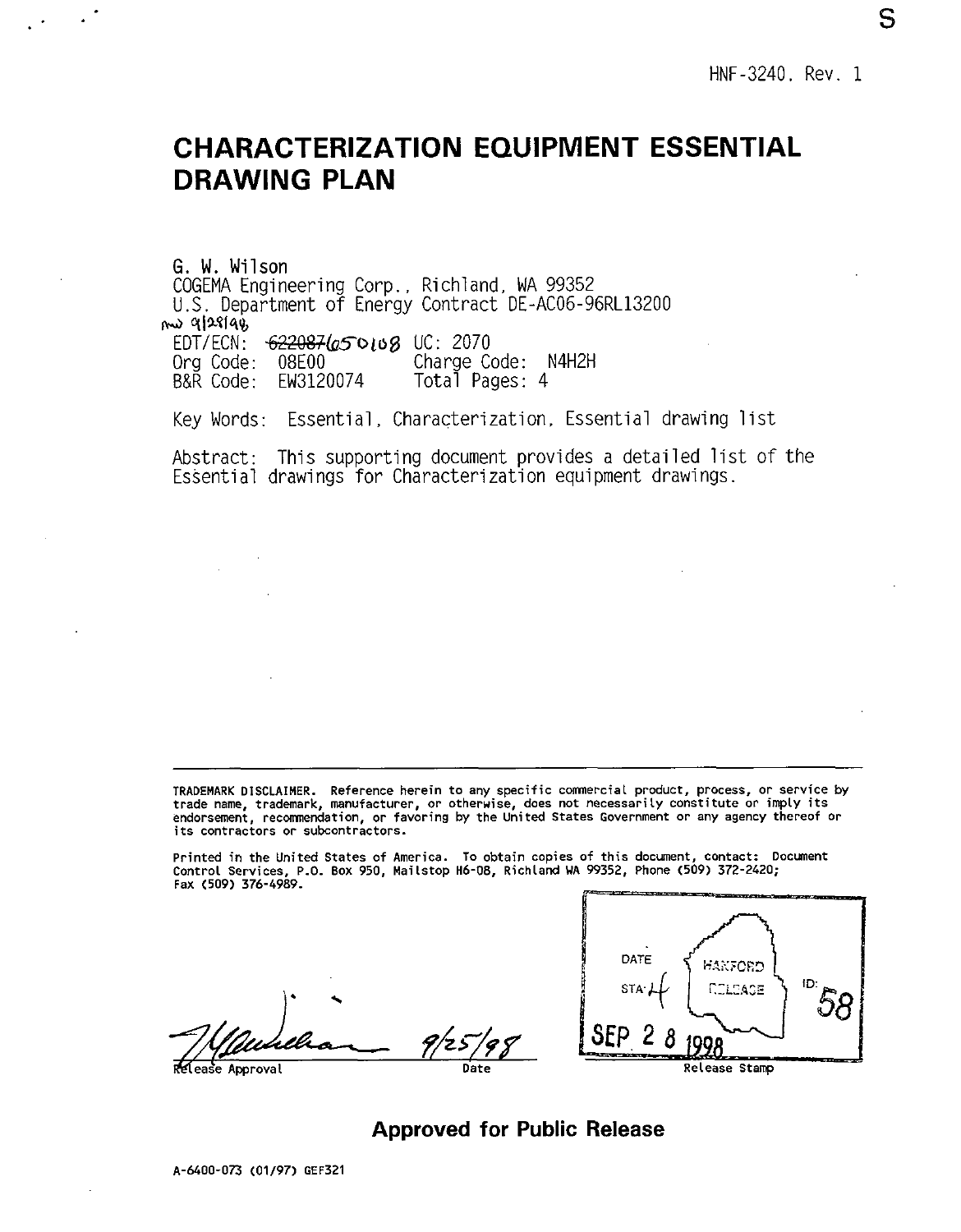# <span id="page-2-0"></span>**CHARACTERIZATION EQUIPMENT ESSENTIAL DRAWING PLAN**

G. W. Wilson COGEMA Engineering Corp., Richland, WA 99352 U.S. Department of Energy Contract DE-AC06-96RL13200 EDT/ECN: *-6?2@3&50l08* UC: 2070 Charge Code: N4H2H<br>Total Pages: 4  $B\&R$  Code: FW3120074 nu 9/28/48

Key Words: Essential, Characterization, Essential drawing list

Abstract: This supporting document provides a detailed list of the Essential drawings for Characterization equipment drawings.

TRADEMARK DISCLAIMER. Reference herein to any specific commercial product, process, or service by<br>trade name, trademark, manufacturer, or otherwise, does not necessarily constitute or imply its<br>endorsement, recommendation its contractors or subcontractors. Reference herein to any specific comnercial product, process, or service by

Printed in the United States of America. To obtain copies of this document, contact: Docment Control Services, P.O. Box 950, Maitstop H6-08, Richlard WA 99352, Phone (509) 372-2420; Fax (509) 376-4989.

ease Approval Date Date Release Stamp



**Approved for Public Release**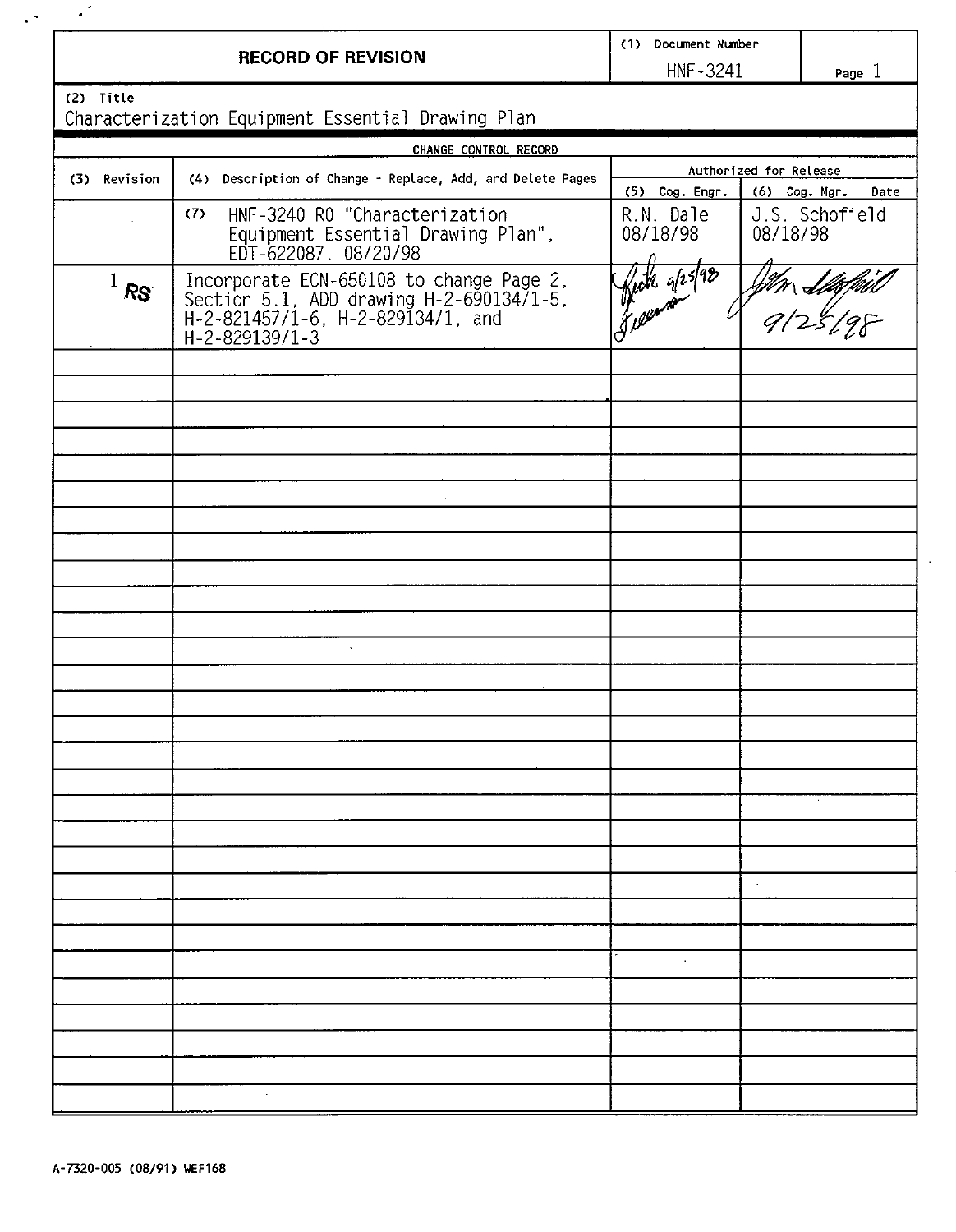|               | <b>RECORD OF REVISION</b>                                                                                                                   | (1) Document Number<br>HNF-3241       | Page 1                     |
|---------------|---------------------------------------------------------------------------------------------------------------------------------------------|---------------------------------------|----------------------------|
| (2) Title     | Characterization Equipment Essential Drawing Plan                                                                                           |                                       |                            |
|               | CHANGE CONTROL RECORD                                                                                                                       |                                       |                            |
|               |                                                                                                                                             |                                       | Authorized for Release     |
| (3) Revision  | (4) Description of Change - Replace, Add, and Delete Pages                                                                                  | $(5)$ Cog. Engr.                      | (6) Cog. Mgr.<br>Date      |
|               | (7)<br>HNF-3240 RO "Characterization<br>Equipment Essential Drawing Plan",<br>EDT-622087, 08/20/98                                          | R.N. Dale<br>08/18/98                 | J.S. Schofield<br>08/18/98 |
| $\sqrt{1}$ RS | Incorporate ECN-650108 to change Page 2.<br>Section 5.1, ADD drawing H-2-690134/1-5.<br>H-2-821457/1-6, H-2-829134/1, and<br>H-2-829139/1-3 | jok grsf98<br>.<br>Kil <sup>gar</sup> | 9/25/                      |
|               |                                                                                                                                             |                                       |                            |
|               |                                                                                                                                             |                                       |                            |
|               |                                                                                                                                             |                                       |                            |
|               | $\bar{z}$                                                                                                                                   |                                       |                            |
|               |                                                                                                                                             |                                       |                            |
|               |                                                                                                                                             |                                       |                            |
|               |                                                                                                                                             |                                       |                            |
|               |                                                                                                                                             |                                       |                            |
|               | $\mathcal{L}$                                                                                                                               |                                       |                            |
|               |                                                                                                                                             |                                       |                            |
|               | $\alpha$                                                                                                                                    |                                       |                            |
|               |                                                                                                                                             |                                       |                            |
|               |                                                                                                                                             |                                       |                            |
|               |                                                                                                                                             |                                       |                            |
|               |                                                                                                                                             |                                       |                            |
|               |                                                                                                                                             |                                       | à.                         |
|               |                                                                                                                                             |                                       |                            |
|               |                                                                                                                                             | $\cdot$                               |                            |
|               |                                                                                                                                             |                                       |                            |
|               |                                                                                                                                             |                                       |                            |
|               |                                                                                                                                             |                                       |                            |
|               |                                                                                                                                             |                                       |                            |
|               |                                                                                                                                             |                                       |                            |

 $\hat{\mathcal{L}}$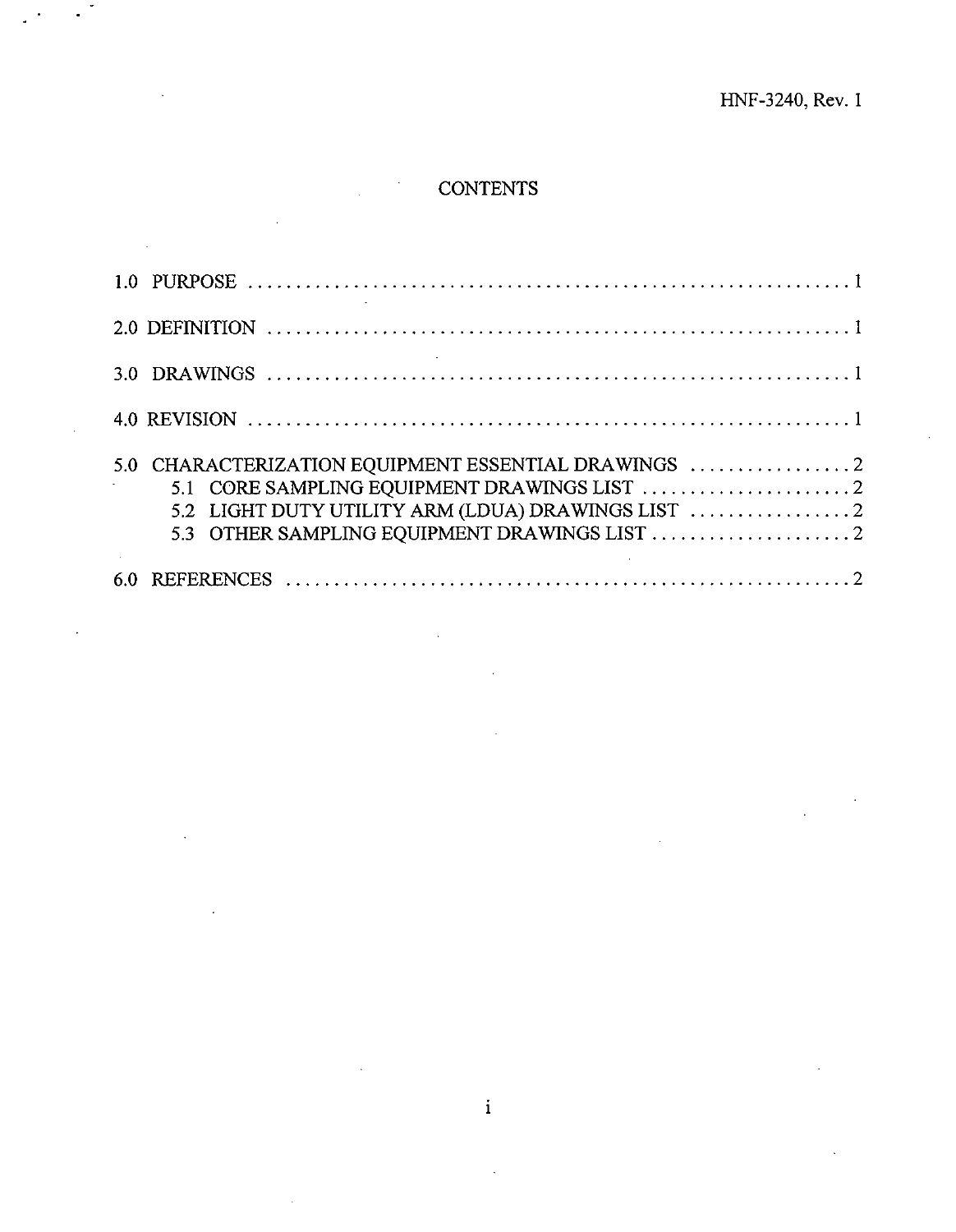## **CONTENTS**

..

| 5.0 CHARACTERIZATION EQUIPMENT ESSENTIAL DRAWINGS $\ldots \ldots \ldots \ldots \ldots$ |
|----------------------------------------------------------------------------------------|
|                                                                                        |

**1**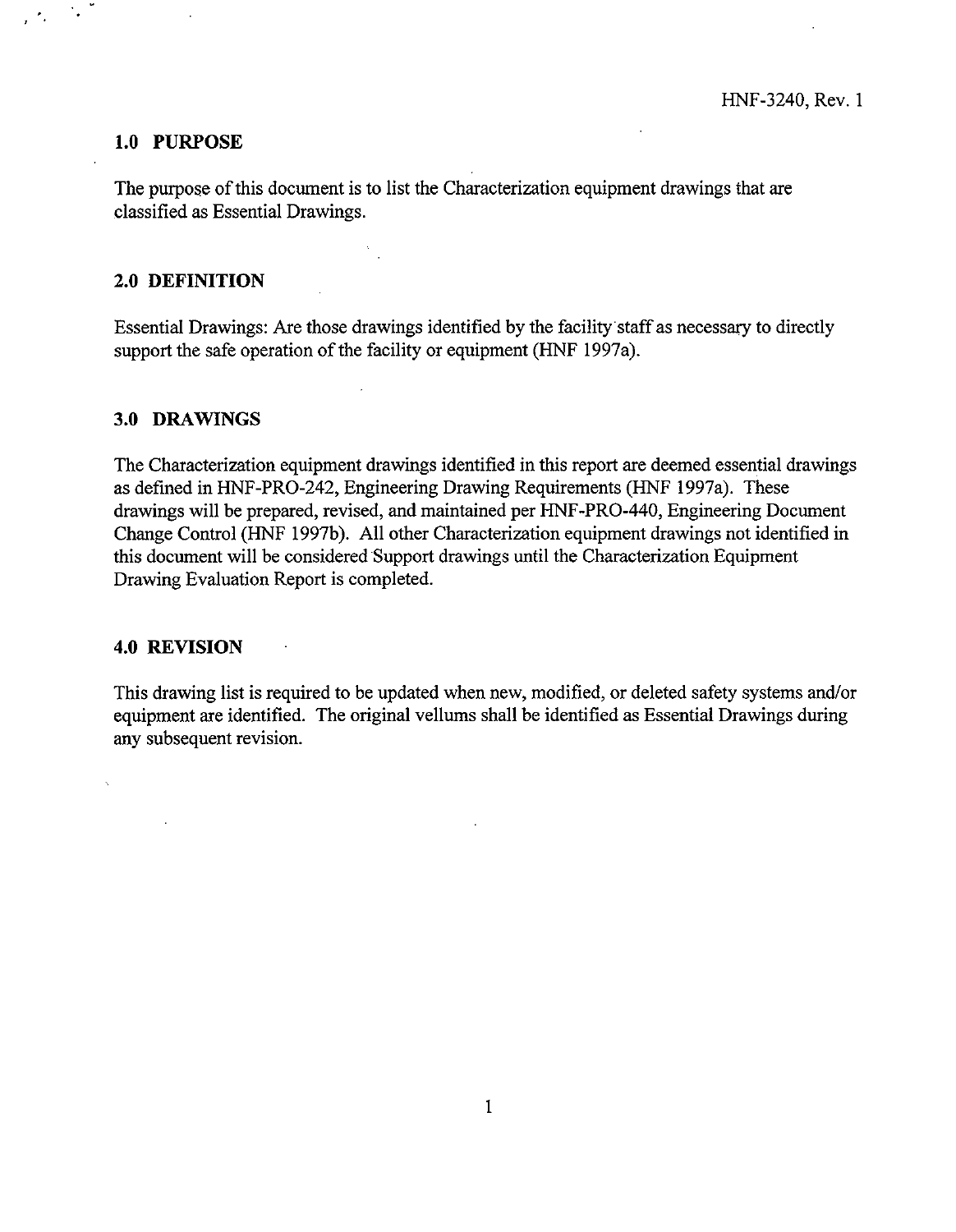#### **1.0 PURPOSE**

The purpose of this document is to list the Characterization equipment drawings that are classified as Essential Drawings.

#### **2.0 DEFINITION**

Essential Drawings: Are those drawings identified by the facility staff as necessary to directly support the safe operation of the facility or equipment (HNF 1997a).

#### **3.0 DRAWINGS**

The Characterization equipment drawings identified in this report are deemed essential drawings as defined in HNF-PRO-242, Engineering Drawing Requirements (HNF 1997a). These drawings will be prepared, revised, and maintained per HNF-PRO-440, Engineering Document Change Control (HNF 1997b). All other Characterization equipment drawings not identified in this document will be considered Support drawings until the Characterization Equipment Drawing Evaluation Report is completed.

#### **4.0 REVISION**

This drawing list is required to be updated when new, modified, or deleted safety systems and/or equipment are identified. The original vellums shall be identified as Essential Drawings during any subsequent revision.